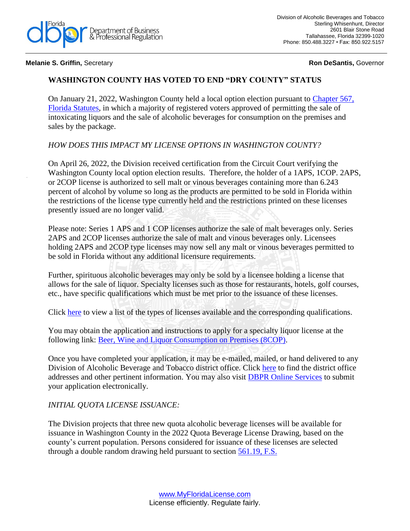

**Melanie S. Griffin, Secretary <b>Ron Desantis,** *Secretary* **Ron DeSantis, Governor** 

## **WASHINGTON COUNTY HAS VOTED TO END "DRY COUNTY" STATUS**

On January 21, 2022, Washington County held a local option election pursuant to [Chapter 567,](http://www.leg.state.fl.us/statutes/index.cfm?App_mode=Display_Statute&URL=0500-0599/0567/0567ContentsIndex.html&StatuteYear=2017&Title=-%3E2017-%3EChapter%20567)  [Florida Statutes,](http://www.leg.state.fl.us/statutes/index.cfm?App_mode=Display_Statute&URL=0500-0599/0567/0567ContentsIndex.html&StatuteYear=2017&Title=-%3E2017-%3EChapter%20567) in which a majority of registered voters approved of permitting the sale of intoxicating liquors and the sale of alcoholic beverages for consumption on the premises and sales by the package.

## *HOW DOES THIS IMPACT MY LICENSE OPTIONS IN WASHINGTON COUNTY?*

On April 26, 2022, the Division received certification from the Circuit Court verifying the Washington County local option election results. Therefore, the holder of a 1APS, 1COP. 2APS, or 2COP license is authorized to sell malt or vinous beverages containing more than 6.243 percent of alcohol by volume so long as the products are permitted to be sold in Florida within the restrictions of the license type currently held and the restrictions printed on these licenses presently issued are no longer valid.

Please note: Series 1 APS and 1 COP licenses authorize the sale of malt beverages only. Series 2APS and 2COP licenses authorize the sale of malt and vinous beverages only. Licensees holding 2APS and 2COP type licenses may now sell any malt or vinous beverages permitted to be sold in Florida without any additional licensure requirements.

Further, spirituous alcoholic beverages may only be sold by a licensee holding a license that allows for the sale of liquor. Specialty licenses such as those for restaurants, hotels, golf courses, etc., have specific qualifications which must be met prior to the issuance of these licenses.

Click [here](http://www.myfloridalicense.com/dbpr/abt/rules_statutes/license_types.pdf) to view a list of the types of licenses available and the corresponding qualifications.

You may obtain the application and instructions to apply for a specialty liquor license at the following link: [Beer, Wine and Liquor Consumption on Premises \(8COP\).](https://www.myfloridalicense.com/CheckListDetail.asp?SID=&xactCode=1036&clientCode=4006&XACT_DEFN_ID=7061)

Once you have completed your application, it may be e-mailed, mailed, or hand delivered to any Division of Alcoholic Beverage and Tobacco district office. Click [here](http://www.myfloridalicense.com/DBPR/alcoholic-beverages-and-tobacco/contact/#1494352843986-421b0e77-77ee) to find the district office addresses and other pertinent information. You may also visit [DBPR Online Services](https://www.myfloridalicense.com/datamart/loginFLDBPR.do;jsessionid=Bcs04dRgf1yZtKyvKFg9iFJDlMAlfkioKqTGYuci.DBPR-WPAP042:VO-Server-Six) to submit your application electronically.

## *INITIAL QUOTA LICENSE ISSUANCE:*

The Division projects that three new quota alcoholic beverage licenses will be available for issuance in Washington County in the 2022 Quota Beverage License Drawing, based on the county's current population. Persons considered for issuance of these licenses are selected through a double random drawing held pursuant to section [561.19, F.S.](http://www.leg.state.fl.us/statutes/index.cfm?App_mode=Display_Statute&Search_String=&URL=0500-0599/0561/Sections/0561.19.html)